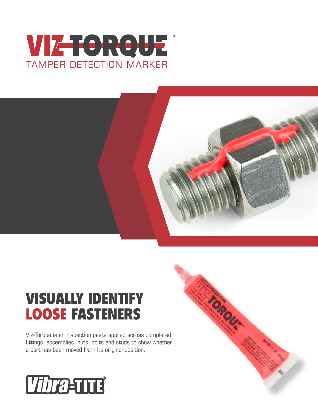## VIZTORQUE ®TAMPER DETECTION MARKER



**CARGUAY** 

# VISUALLY IDENTIFY LOOSE FASTENERS

Viz-Torque is an inspection paste applied across completed fittings, assemblies, nuts, bolts and studs to show whether a part has been moved from its original position.